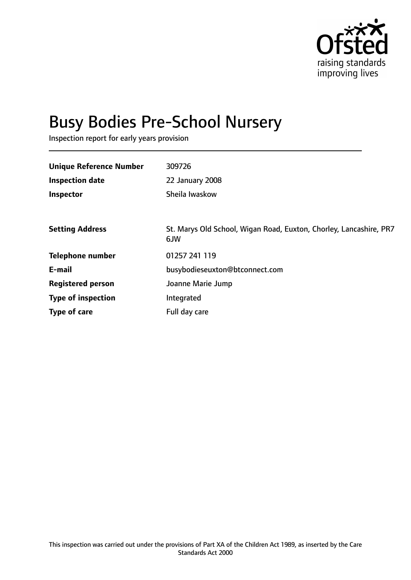

# Busy Bodies Pre-School Nursery

Inspection report for early years provision

| <b>Unique Reference Number</b> | 309726                                                                    |
|--------------------------------|---------------------------------------------------------------------------|
| <b>Inspection date</b>         | 22 January 2008                                                           |
| Inspector                      | Sheila Iwaskow                                                            |
|                                |                                                                           |
| <b>Setting Address</b>         | St. Marys Old School, Wigan Road, Euxton, Chorley, Lancashire, PR7<br>6JW |
| <b>Telephone number</b>        | 01257 241 119                                                             |
| E-mail                         | busybodieseuxton@btconnect.com                                            |
| <b>Registered person</b>       | Joanne Marie Jump                                                         |
| <b>Type of inspection</b>      | Integrated                                                                |
| Type of care                   | Full day care                                                             |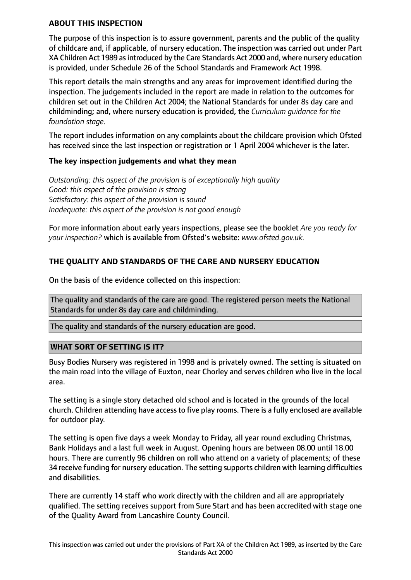### **ABOUT THIS INSPECTION**

The purpose of this inspection is to assure government, parents and the public of the quality of childcare and, if applicable, of nursery education. The inspection was carried out under Part XA Children Act 1989 as introduced by the Care Standards Act 2000 and, where nursery education is provided, under Schedule 26 of the School Standards and Framework Act 1998.

This report details the main strengths and any areas for improvement identified during the inspection. The judgements included in the report are made in relation to the outcomes for children set out in the Children Act 2004; the National Standards for under 8s day care and childminding; and, where nursery education is provided, the *Curriculum guidance for the foundation stage.*

The report includes information on any complaints about the childcare provision which Ofsted has received since the last inspection or registration or 1 April 2004 whichever is the later.

## **The key inspection judgements and what they mean**

*Outstanding: this aspect of the provision is of exceptionally high quality Good: this aspect of the provision is strong Satisfactory: this aspect of the provision is sound Inadequate: this aspect of the provision is not good enough*

For more information about early years inspections, please see the booklet *Are you ready for your inspection?* which is available from Ofsted's website: *www.ofsted.gov.uk.*

## **THE QUALITY AND STANDARDS OF THE CARE AND NURSERY EDUCATION**

On the basis of the evidence collected on this inspection:

The quality and standards of the care are good. The registered person meets the National Standards for under 8s day care and childminding.

The quality and standards of the nursery education are good.

#### **WHAT SORT OF SETTING IS IT?**

Busy Bodies Nursery was registered in 1998 and is privately owned. The setting is situated on the main road into the village of Euxton, near Chorley and serves children who live in the local area.

The setting is a single story detached old school and is located in the grounds of the local church. Children attending have accessto five play rooms. There is a fully enclosed are available for outdoor play.

The setting is open five days a week Monday to Friday, all year round excluding Christmas, Bank Holidays and a last full week in August. Opening hours are between 08.00 until 18.00 hours. There are currently 96 children on roll who attend on a variety of placements; of these 34 receive funding for nursery education. The setting supports children with learning difficulties and disabilities.

There are currently 14 staff who work directly with the children and all are appropriately qualified. The setting receives support from Sure Start and has been accredited with stage one of the Quality Award from Lancashire County Council.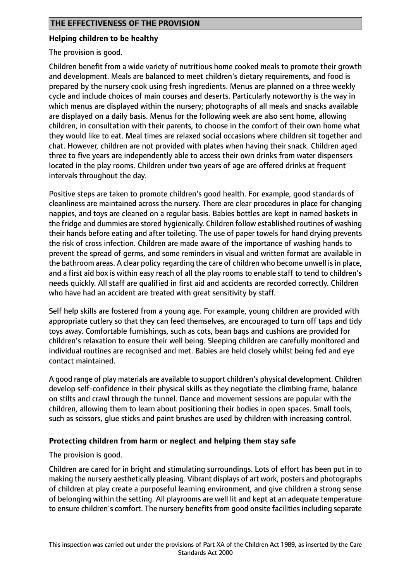## **Helping children to be healthy**

The provision is good.

Children benefit from a wide variety of nutritious home cooked meals to promote their growth and development. Meals are balanced to meet children's dietary requirements, and food is prepared by the nursery cook using fresh ingredients. Menus are planned on a three weekly cycle and include choices of main courses and deserts. Particularly noteworthy is the way in which menus are displayed within the nursery; photographs of all meals and snacks available are displayed on a daily basis. Menus for the following week are also sent home, allowing children, in consultation with their parents, to choose in the comfort of their own home what they would like to eat. Meal times are relaxed social occasions where children sit together and chat. However, children are not provided with plates when having their snack. Children aged three to five years are independently able to access their own drinks from water dispensers located in the play rooms. Children under two years of age are offered drinks at frequent intervals throughout the day.

Positive steps are taken to promote children's good health. For example, good standards of cleanliness are maintained across the nursery. There are clear procedures in place for changing nappies, and toys are cleaned on a regular basis. Babies bottles are kept in named baskets in the fridge and dummies are stored hygienically. Children follow established routines of washing their hands before eating and after toileting. The use of paper towels for hand drying prevents the risk of cross infection. Children are made aware of the importance of washing hands to prevent the spread of germs, and some reminders in visual and written format are available in the bathroom areas. A clear policy regarding the care of children who become unwell is in place, and a first aid box is within easy reach of all the play rooms to enable staff to tend to children's needs quickly. All staff are qualified in first aid and accidents are recorded correctly. Children who have had an accident are treated with great sensitivity by staff.

Self help skills are fostered from a young age. For example, young children are provided with appropriate cutlery so that they can feed themselves, are encouraged to turn off taps and tidy toys away. Comfortable furnishings, such as cots, bean bags and cushions are provided for children's relaxation to ensure their well being. Sleeping children are carefully monitored and individual routines are recognised and met. Babies are held closely whilst being fed and eye contact maintained.

A good range of play materials are available to support children's physical development. Children develop self-confidence in their physical skills as they negotiate the climbing frame, balance on stilts and crawl through the tunnel. Dance and movement sessions are popular with the children, allowing them to learn about positioning their bodies in open spaces. Small tools, such as scissors, glue sticks and paint brushes are used by children with increasing control.

## **Protecting children from harm or neglect and helping them stay safe**

The provision is good.

Children are cared for in bright and stimulating surroundings. Lots of effort has been put in to making the nursery aesthetically pleasing. Vibrant displays of art work, posters and photographs of children at play create a purposeful learning environment, and give children a strong sense of belonging within the setting. All playrooms are well lit and kept at an adequate temperature to ensure children's comfort. The nursery benefits from good onsite facilities including separate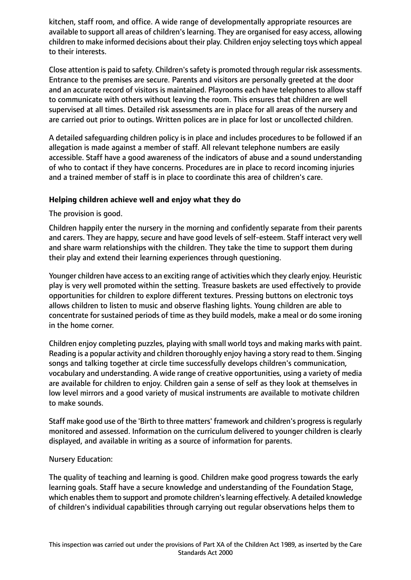kitchen, staff room, and office. A wide range of developmentally appropriate resources are available to support all areas of children's learning. They are organised for easy access, allowing children to make informed decisions about their play. Children enjoy selecting toys which appeal to their interests.

Close attention is paid to safety. Children's safety is promoted through regular risk assessments. Entrance to the premises are secure. Parents and visitors are personally greeted at the door and an accurate record of visitors is maintained. Playrooms each have telephones to allow staff to communicate with others without leaving the room. This ensures that children are well supervised at all times. Detailed risk assessments are in place for all areas of the nursery and are carried out prior to outings. Written polices are in place for lost or uncollected children.

A detailed safeguarding children policy is in place and includes procedures to be followed if an allegation is made against a member of staff. All relevant telephone numbers are easily accessible. Staff have a good awareness of the indicators of abuse and a sound understanding of who to contact if they have concerns. Procedures are in place to record incoming injuries and a trained member of staff is in place to coordinate this area of children's care.

## **Helping children achieve well and enjoy what they do**

The provision is good.

Children happily enter the nursery in the morning and confidently separate from their parents and carers. They are happy, secure and have good levels of self-esteem. Staff interact very well and share warm relationships with the children. They take the time to support them during their play and extend their learning experiences through questioning.

Younger children have accessto an exciting range of activities which they clearly enjoy. Heuristic play is very well promoted within the setting. Treasure baskets are used effectively to provide opportunities for children to explore different textures. Pressing buttons on electronic toys allows children to listen to music and observe flashing lights. Young children are able to concentrate for sustained periods of time as they build models, make a meal or do some ironing in the home corner.

Children enjoy completing puzzles, playing with small world toys and making marks with paint. Reading is a popular activity and children thoroughly enjoy having a story read to them. Singing songs and talking together at circle time successfully develops children's communication, vocabulary and understanding. A wide range of creative opportunities, using a variety of media are available for children to enjoy. Children gain a sense of self as they look at themselves in low level mirrors and a good variety of musical instruments are available to motivate children to make sounds.

Staff make good use of the 'Birth to three matters' framework and children's progressisregularly monitored and assessed. Information on the curriculum delivered to younger children is clearly displayed, and available in writing as a source of information for parents.

## Nursery Education:

The quality of teaching and learning is good. Children make good progress towards the early learning goals. Staff have a secure knowledge and understanding of the Foundation Stage, which enables them to support and promote children's learning effectively. A detailed knowledge of children's individual capabilities through carrying out regular observations helps them to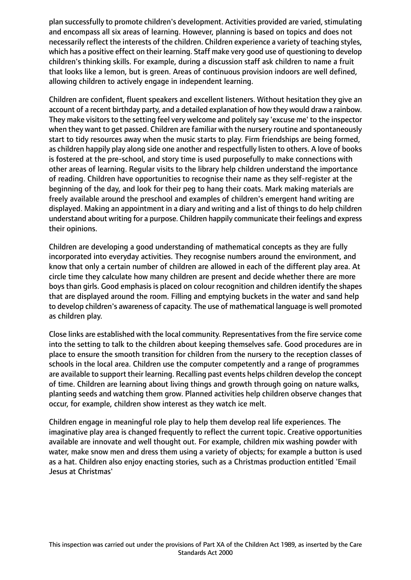plan successfully to promote children's development. Activities provided are varied, stimulating and encompass all six areas of learning. However, planning is based on topics and does not necessarily reflect the interests of the children. Children experience a variety of teaching styles, which has a positive effect on their learning. Staff make very good use of questioning to develop children's thinking skills. For example, during a discussion staff ask children to name a fruit that looks like a lemon, but is green. Areas of continuous provision indoors are well defined, allowing children to actively engage in independent learning.

Children are confident, fluent speakers and excellent listeners. Without hesitation they give an account of a recent birthday party, and a detailed explanation of how they would draw a rainbow. They make visitors to the setting feel very welcome and politely say 'excuse me' to the inspector when they want to get passed. Children are familiar with the nursery routine and spontaneously start to tidy resources away when the music starts to play. Firm friendships are being formed, as children happily play along side one another and respectfully listen to others. A love of books is fostered at the pre-school, and story time is used purposefully to make connections with other areas of learning. Regular visits to the library help children understand the importance of reading. Children have opportunities to recognise their name as they self-register at the beginning of the day, and look for their peg to hang their coats. Mark making materials are freely available around the preschool and examples of children's emergent hand writing are displayed. Making an appointment in a diary and writing and a list of things to do help children understand about writing for a purpose. Children happily communicate their feelings and express their opinions.

Children are developing a good understanding of mathematical concepts as they are fully incorporated into everyday activities. They recognise numbers around the environment, and know that only a certain number of children are allowed in each of the different play area. At circle time they calculate how many children are present and decide whether there are more boys than girls. Good emphasis is placed on colour recognition and children identify the shapes that are displayed around the room. Filling and emptying buckets in the water and sand help to develop children's awareness of capacity. The use of mathematical language is well promoted as children play.

Close links are established with the local community. Representatives from the fire service come into the setting to talk to the children about keeping themselves safe. Good procedures are in place to ensure the smooth transition for children from the nursery to the reception classes of schools in the local area. Children use the computer competently and a range of programmes are available to support their learning. Recalling past events helps children develop the concept of time. Children are learning about living things and growth through going on nature walks, planting seeds and watching them grow. Planned activities help children observe changes that occur, for example, children show interest as they watch ice melt.

Children engage in meaningful role play to help them develop real life experiences. The imaginative play area is changed frequently to reflect the current topic. Creative opportunities available are innovate and well thought out. For example, children mix washing powder with water, make snow men and dress them using a variety of objects; for example a button is used as a hat. Children also enjoy enacting stories, such as a Christmas production entitled 'Email Jesus at Christmas'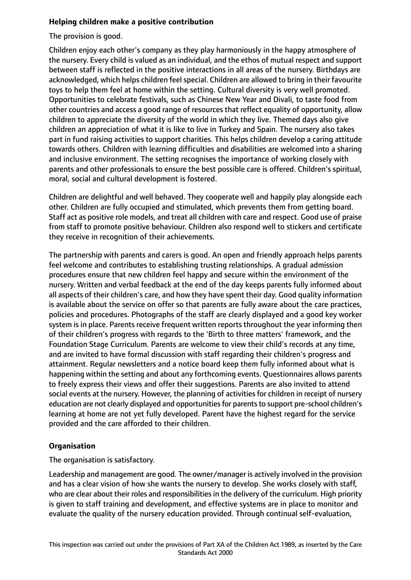## **Helping children make a positive contribution**

The provision is good.

Children enjoy each other's company as they play harmoniously in the happy atmosphere of the nursery. Every child is valued as an individual, and the ethos of mutual respect and support between staff is reflected in the positive interactions in all areas of the nursery. Birthdays are acknowledged, which helps children feel special. Children are allowed to bring in their favourite toys to help them feel at home within the setting. Cultural diversity is very well promoted. Opportunities to celebrate festivals, such as Chinese New Year and Divali, to taste food from other countries and access a good range of resources that reflect equality of opportunity, allow children to appreciate the diversity of the world in which they live. Themed days also give children an appreciation of what it is like to live in Turkey and Spain. The nursery also takes part in fund raising activities to support charities. This helps children develop a caring attitude towards others. Children with learning difficulties and disabilities are welcomed into a sharing and inclusive environment. The setting recognises the importance of working closely with parents and other professionals to ensure the best possible care is offered. Children's spiritual, moral, social and cultural development is fostered.

Children are delightful and well behaved. They cooperate well and happily play alongside each other. Children are fully occupied and stimulated, which prevents them from getting board. Staff act as positive role models, and treat all children with care and respect. Good use of praise from staff to promote positive behaviour. Children also respond well to stickers and certificate they receive in recognition of their achievements.

The partnership with parents and carers is good. An open and friendly approach helps parents feel welcome and contributes to establishing trusting relationships. A gradual admission procedures ensure that new children feel happy and secure within the environment of the nursery. Written and verbal feedback at the end of the day keeps parents fully informed about all aspects of their children's care, and how they have spent their day. Good quality information is available about the service on offer so that parents are fully aware about the care practices, policies and procedures. Photographs of the staff are clearly displayed and a good key worker system is in place. Parents receive frequent written reports throughout the year informing then of their children's progress with regards to the 'Birth to three matters' framework, and the Foundation Stage Curriculum. Parents are welcome to view their child's records at any time, and are invited to have formal discussion with staff regarding their children's progress and attainment. Regular newsletters and a notice board keep them fully informed about what is happening within the setting and about any forthcoming events. Questionnaires allows parents to freely express their views and offer their suggestions. Parents are also invited to attend social events at the nursery. However, the planning of activities for children in receipt of nursery education are not clearly displayed and opportunities for parents to support pre-school children's learning at home are not yet fully developed. Parent have the highest regard for the service provided and the care afforded to their children.

# **Organisation**

The organisation is satisfactory.

Leadership and management are good. The owner/manager is actively involved in the provision and has a clear vision of how she wants the nursery to develop. She works closely with staff, who are clear about their roles and responsibilities in the delivery of the curriculum. High priority is given to staff training and development, and effective systems are in place to monitor and evaluate the quality of the nursery education provided. Through continual self-evaluation,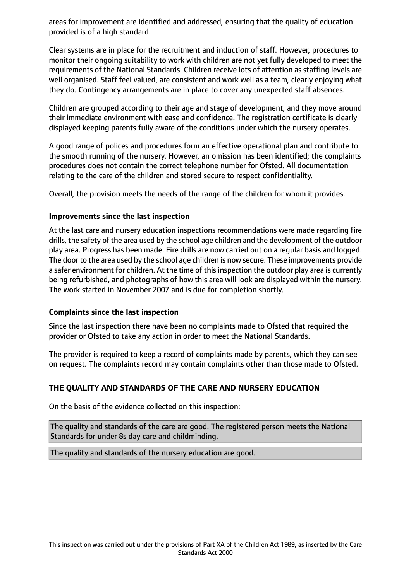areas for improvement are identified and addressed, ensuring that the quality of education provided is of a high standard.

Clear systems are in place for the recruitment and induction of staff. However, procedures to monitor their ongoing suitability to work with children are not yet fully developed to meet the requirements of the National Standards. Children receive lots of attention as staffing levels are well organised. Staff feel valued, are consistent and work well as a team, clearly enjoying what they do. Contingency arrangements are in place to cover any unexpected staff absences.

Children are grouped according to their age and stage of development, and they move around their immediate environment with ease and confidence. The registration certificate is clearly displayed keeping parents fully aware of the conditions under which the nursery operates.

A good range of polices and procedures form an effective operational plan and contribute to the smooth running of the nursery. However, an omission has been identified; the complaints procedures does not contain the correct telephone number for Ofsted. All documentation relating to the care of the children and stored secure to respect confidentiality.

Overall, the provision meets the needs of the range of the children for whom it provides.

## **Improvements since the last inspection**

At the last care and nursery education inspections recommendations were made regarding fire drills, the safety of the area used by the school age children and the development of the outdoor play area. Progress has been made. Fire drills are now carried out on a regular basis and logged. The door to the area used by the school age children is now secure. These improvements provide a safer environment for children. At the time of thisinspection the outdoor play area is currently being refurbished, and photographs of how this area will look are displayed within the nursery. The work started in November 2007 and is due for completion shortly.

## **Complaints since the last inspection**

Since the last inspection there have been no complaints made to Ofsted that required the provider or Ofsted to take any action in order to meet the National Standards.

The provider is required to keep a record of complaints made by parents, which they can see on request. The complaints record may contain complaints other than those made to Ofsted.

# **THE QUALITY AND STANDARDS OF THE CARE AND NURSERY EDUCATION**

On the basis of the evidence collected on this inspection:

The quality and standards of the care are good. The registered person meets the National Standards for under 8s day care and childminding.

The quality and standards of the nursery education are good.